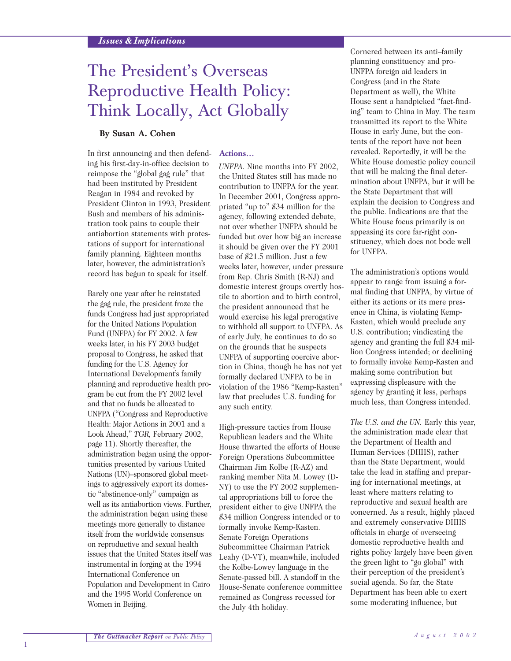# The President's Overseas Reproductive Health Policy: Think Locally, Act Globally

### **By Susan A. Cohen**

In first announcing and then defending his first-day-in-office decision to reimpose the "global gag rule" that had been instituted by President Reagan in 1984 and revoked by President Clinton in 1993, President Bush and members of his administration took pains to couple their antiabortion statements with protestations of support for international family planning. Eighteen months later, however, the administration's record has begun to speak for itself.

Barely one year after he reinstated the gag rule, the president froze the funds Congress had just appropriated for the United Nations Population Fund (UNFPA) for FY 2002. A few weeks later, in his FY 2003 budget proposal to Congress, he asked that funding for the U.S. Agency for International Development's family planning and reproductive health program be cut from the FY 2002 level and that no funds be allocated to UNFPA ("Congress and Reproductive Health: Major Actions in 2001 and a Look Ahead," *TGR,* February 2002, page 11). Shortly thereafter, the administration began using the opportunities presented by various United Nations (UN)–sponsored global meetings to aggressively export its domestic "abstinence-only" campaign as well as its antiabortion views. Further, the administration began using these meetings more generally to distance itself from the worldwide consensus on reproductive and sexual health issues that the United States itself was instrumental in forging at the 1994 International Conference on Population and Development in Cairo and the 1995 World Conference on Women in Beijing.

#### **Actions…**

*UNFPA.* Nine months into FY 2002, the United States still has made no contribution to UNFPA for the year. In December 2001, Congress appropriated "up to" \$34 million for the agency, following extended debate, not over whether UNFPA should be funded but over how big an increase it should be given over the FY 2001 base of \$21.5 million. Just a few weeks later, however, under pressure from Rep. Chris Smith (R-NJ) and domestic interest groups overtly hostile to abortion and to birth control, the president announced that he would exercise his legal prerogative to withhold all support to UNFPA. As of early July, he continues to do so on the grounds that he suspects UNFPA of supporting coercive abortion in China, though he has not yet formally declared UNFPA to be in violation of the 1986 "Kemp-Kasten" law that precludes U.S. funding for any such entity.

High-pressure tactics from House Republican leaders and the White House thwarted the efforts of House Foreign Operations Subcommittee Chairman Jim Kolbe (R-AZ) and ranking member Nita M. Lowey (D-NY) to use the FY 2002 supplemental appropriations bill to force the president either to give UNFPA the \$34 million Congress intended or to formally invoke Kemp-Kasten. Senate Foreign Operations Subcommittee Chairman Patrick Leahy (D-VT), meanwhile, included the Kolbe-Lowey language in the Senate-passed bill. A standoff in the House-Senate conference committee remained as Congress recessed for the July 4th holiday.

Cornered between its anti–family planning constituency and pro-UNFPA foreign aid leaders in Congress (and in the State Department as well), the White House sent a handpicked "fact-finding" team to China in May. The team transmitted its report to the White House in early June, but the contents of the report have not been revealed. Reportedly, it will be the White House domestic policy council that will be making the final determination about UNFPA, but it will be the State Department that will explain the decision to Congress and the public. Indications are that the White House focus primarily is on appeasing its core far-right constituency, which does not bode well for UNFPA.

The administration's options would appear to range from issuing a formal finding that UNFPA, by virtue of either its actions or its mere presence in China, is violating Kemp-Kasten, which would preclude any U.S. contribution; vindicating the agency and granting the full \$34 million Congress intended; or declining to formally invoke Kemp-Kasten and making some contribution but expressing displeasure with the agency by granting it less, perhaps much less, than Congress intended.

*The U.S. and the UN.* Early this year, the administration made clear that the Department of Health and Human Services (DHHS), rather than the State Department, would take the lead in staffing and preparing for international meetings, at least where matters relating to reproductive and sexual health are concerned. As a result, highly placed and extremely conservative DHHS officials in charge of overseeing domestic reproductive health and rights policy largely have been given the green light to "go global" with their perception of the president's social agenda. So far, the State Department has been able to exert some moderating influence, but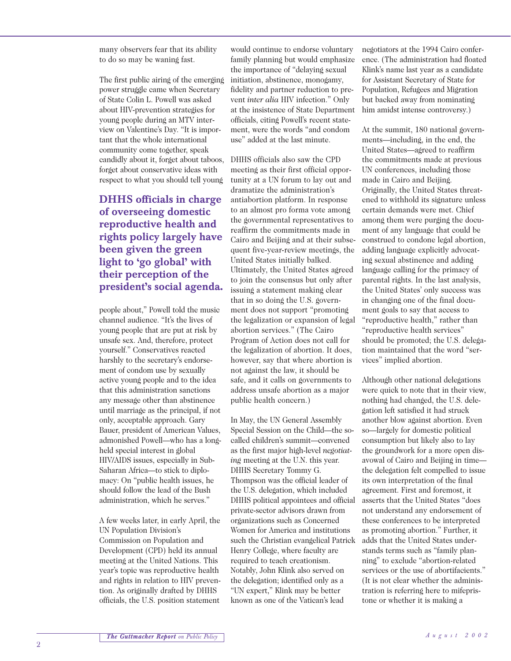many observers fear that its ability to do so may be waning fast.

The first public airing of the emerging power struggle came when Secretary of State Colin L. Powell was asked about HIV-prevention strategies for young people during an MTV interview on Valentine's Day. "It is important that the whole international community come together, speak candidly about it, forget about taboos, forget about conservative ideas with respect to what you should tell young

## **DHHS officials in charge of overseeing domestic reproductive health and rights policy largely have been given the green light to 'go global' with their perception of the president's social agenda.**

people about," Powell told the music channel audience. "It's the lives of young people that are put at risk by unsafe sex. And, therefore, protect yourself." Conservatives reacted harshly to the secretary's endorsement of condom use by sexually active young people and to the idea that this administration sanctions any message other than abstinence until marriage as the principal, if not only, acceptable approach. Gary Bauer, president of American Values, admonished Powell—who has a longheld special interest in global HIV/AIDS issues, especially in Sub-Saharan Africa—to stick to diplomacy: On "public health issues, he should follow the lead of the Bush administration, which he serves."

A few weeks later, in early April, the UN Population Division's Commission on Population and Development (CPD) held its annual meeting at the United Nations. This year's topic was reproductive health and rights in relation to HIV prevention. As originally drafted by DHHS officials, the U.S. position statement

would continue to endorse voluntary family planning but would emphasize the importance of "delaying sexual initiation, abstinence, monogamy, fidelity and partner reduction to prevent *inter alia* HIV infection." Only at the insistence of State Department officials, citing Powell's recent statement, were the words "and condom use" added at the last minute.

DHHS officials also saw the CPD meeting as their first official opportunity at a UN forum to lay out and dramatize the administration's antiabortion platform. In response to an almost pro forma vote among the governmental representatives to reaffirm the commitments made in Cairo and Beijing and at their subsequent five-year-review meetings, the United States initially balked. Ultimately, the United States agreed to join the consensus but only after issuing a statement making clear that in so doing the U.S. government does not support "promoting the legalization or expansion of legal abortion services." (The Cairo Program of Action does not call for the legalization of abortion. It does, however, say that where abortion is not against the law, it should be safe, and it calls on governments to address unsafe abortion as a major public health concern.)

In May, the UN General Assembly Special Session on the Child—the socalled children's summit—convened as the first major high-level *negotiating* meeting at the U.N. this year. DHHS Secretary Tommy G. Thompson was the official leader of the U.S. delegation, which included DHHS political appointees and official private-sector advisors drawn from organizations such as Concerned Women for America and institutions such the Christian evangelical Patrick Henry College, where faculty are required to teach creationism. Notably, John Klink also served on the delegation; identified only as a "UN expert," Klink may be better known as one of the Vatican's lead

negotiators at the 1994 Cairo conference. (The administration had floated Klink's name last year as a candidate for Assistant Secretary of State for Population, Refugees and Migration but backed away from nominating him amidst intense controversy.)

At the summit, 180 national governments—including, in the end, the United States—agreed to reaffirm the commitments made at previous UN conferences, including those made in Cairo and Beijing. Originally, the United States threatened to withhold its signature unless certain demands were met. Chief among them were purging the document of any language that could be construed to condone legal abortion, adding language explicitly advocating sexual abstinence and adding language calling for the primacy of parental rights. In the last analysis, the United States' only success was in changing one of the final document goals to say that access to "reproductive health," rather than "reproductive health services" should be promoted; the U.S. delegation maintained that the word "services" implied abortion.

Although other national delegations were quick to note that in their view, nothing had changed, the U.S. delegation left satisfied it had struck another blow against abortion. Even so—largely for domestic political consumption but likely also to lay the groundwork for a more open disavowal of Cairo and Beijing in time the delegation felt compelled to issue its own interpretation of the final agreement. First and foremost, it asserts that the United States "does not understand any endorsement of these conferences to be interpreted as promoting abortion." Further, it adds that the United States understands terms such as "family planning" to exclude "abortion-related services or the use of abortifacients." (It is not clear whether the administration is referring here to mifepristone or whether it is making a